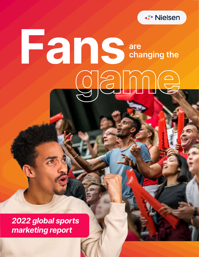

# **are changing the** orainne

*2022 global sports marketing report*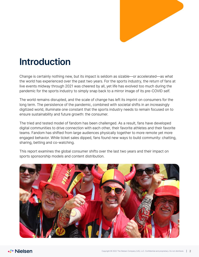

## **Introduction**

Change is certainly nothing new, but its impact is seldom as sizable—or accelerated—as what the world has experienced over the past two years. For the sports industry, the return of fans at live events midway through 2021 was cheered by all, yet life has evolved too much during the pandemic for the sports industry to simply snap back to a mirror image of its pre-COVID self.

The world remains disrupted, and the scale of change has left its imprint on consumers for the long term. The persistence of the pandemic, combined with societal shifts in an increasingly digitized world, illuminate one constant that the sports industry needs to remain focused on to ensure sustainability and future growth: the consumer.

The tried and tested model of fandom has been challenged. As a result, fans have developed digital communities to drive connection with each other, their favorite athletes and their favorite teams. Fandom has shifted from large audiences physically together to more remote yet more engaged behavior. While ticket sales dipped, fans found new ways to build community: chatting, sharing, betting and co-watching.

This report examines the global consumer shifts over the last two years and their impact on sports sponsorship models and content distribution.

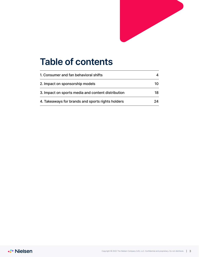

## **Table of contents**

| 1. Consumer and fan behavioral shifts              |    |
|----------------------------------------------------|----|
| 2. Impact on sponsorship models                    | 10 |
| 3. Impact on sports media and content distribution | 18 |
| 4. Takeaways for brands and sports rights holders  | 2Δ |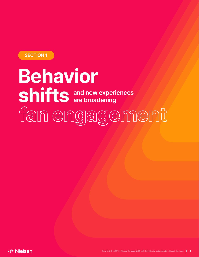<span id="page-3-0"></span>**SECTION 1**

## **and new experiences are broadening Behavior shifts**

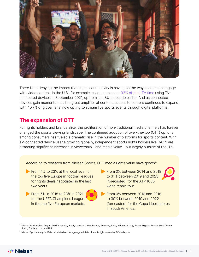

There is no denying the impact that digital connectivity is having on the way consumers engage with video content. In the U.S., for example, consumers spent [32% of their TV time](https://www.nielsen.com/us/en/insights/article/2021/connected-devices-are-the-industrys-great-amplifier-of-content/) using TVconnected devices in September 2021, up from just 8% a decade earlier. And as connected devices gain momentum as the great amplifier of content, access to content continues to expand, with 40.7% of global fans<sup>1</sup> now opting to stream live sports events through digital platforms.

### **The expansion of OTT**

For rights holders and brands alike, the proliferation of non-traditional media channels has forever changed the sports viewing landscape. The continued adoption of over-the-top (OTT) options among consumers has fueled a dramatic rise in the number of platforms for sports content. With TV-connected device usage growing globally, independent sports rights holders like DAZN are attracting significant increases in viewership—and media value—but largely outside of the U.S.

According to research from Nielsen Sports, OTT media rights value have grown<sup>2</sup>:

- From 4% to 23% at the local level for the top five European football leagues for rights deals negotiated in the last two years.
- **From 5% in 2018 to 23% in 2021** for the UEFA Champions League in the top five European markets.
- From 0% between 2014 and 2018 to 31% between 2019 and 2023 (forecasted) for the ATP 1000 world tennis tour.
- 
- From 0% between 2016 and 2018 to 30% between 2019 and 2022 (forecasted) for the Copa Libertadores in South America.

<sup>&</sup>lt;sup>1</sup> Nielsen Fan Insights, August 2021, Australia, Brazil, Canada, China, France, Germany, India, Indonesia, Italy, Japan, Nigeria, Russia, South Korea, Spain, Thailand, U.K. and U.S.

<sup>&</sup>lt;sup>2</sup> Nielsen Sports Analysis. Data calculated on the aggregated date of media rights value by TV deal cycle.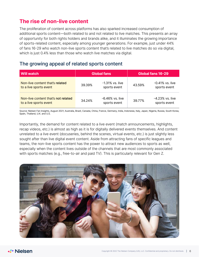### **The rise of non-live content**

The proliferation of content across platforms has also sparked increased consumption of additional sports content—both related to and not related to live matches. This presents an array of opportunity for both rights holders and brands alike, and it illuminates the growing importance of sports-related content, especially among younger generations. For example, just under 44% of fans 16-29 who watch non-live sports content that's related to live matches do so via digital, which is just 0.4% less than those who watch live matches via digital.

### The growing appeal of related sports content

| <b>Will watch</b>                                             | <b>Global fans</b> |                                    | Global fans 16-29 |                                    |
|---------------------------------------------------------------|--------------------|------------------------------------|-------------------|------------------------------------|
| Non-live content that's related<br>to a live sports event     | 39.39%             | $-1.31\%$ vs. live<br>sports event | 43.59%            | $-0.41\%$ vs. live<br>sports event |
| Non-live content that's not related<br>to a live sports event | 34.24%             | -6.46% vs. live<br>sports event    | 39.77%            | $-4.23\%$ vs. live<br>sports event |

Source: Nielsen Fan Insights, August 2021; Australia, Brazil, Canada, China, France, Germany, India, Indonesia, Italy, Japan, Nigeria, Russia, South Korea, Spain, Thailand, U.K. and U.S.

Importantly, the demand for content related to a live event (match announcements, highlights, recap videos, etc.) is almost as high as it is for digitally delivered events themselves. And content unrelated to a live event (docuseries, behind the scenes, virtual events, etc.) is just slightly less sought after than live digital event content. Aside from attracting fans of specific leagues and teams, the non-live sports content has the power to attract new audiences to sports as well, especially when the content lives outside of the channels that are most commonly associated with sports matches (e.g., free-to-air and paid TV). This is particularly relevant for Gen Z.

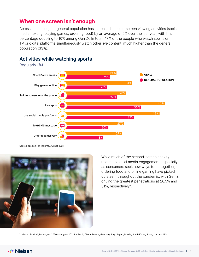### **When one screen isn't enough**

Across audiences, the general population has increased its multi-screen viewing activities (social media, texting, playing games, ordering food) by an average of 5% over the last year, with this percentage doubling to 10% among Gen  $Z^3$ . In total, 47% of the people who watch sports on TV or digital platforms simultaneously watch other live content, much higher than the general population (33%).



### Activities while watching sports

Source: Nielsen Fan Insights, August 2021



While much of the second-screen activity relates to social media engagement, especially as consumers seek new ways to be together, ordering food and online gaming have picked up steam throughout the pandemic, with Gen Z driving the greatest penetrations at 26.5% and 31%, respectively3.

<sup>3</sup> Nielsen Fan Insights August 2020 vs August 2021 for Brazil, China, France, Germany, Italy, Japan, Russia, South Korea, Spain, U.K. and U.S.

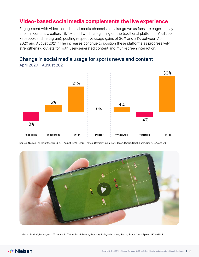### **Video-based social media complements the live experience**

Engagement with video-based social media channels has also grown as fans are eager to play a role in content creation. TikTok and Twitch are gaining on the traditional platforms (YouTube, Facebook and Instagram), posting respective usage gains of 30% and 21% between April 2020 and August 2021.4 The increases continue to position these platforms as progressively strengthening outlets for both user-generated content and multi-screen interaction.

Change in social media usage for sports news and content



April 2020 - August 2021

Source: Nielsen Fan Insights, April 2020 - August 2021; Brazil, France, Germany, India, Italy, Japan, Russia, South Korea, Spain, U.K. and U.S.



<sup>4</sup> Nielsen Fan Insights August 2021 vs April 2020 for Brazil, France, Germany, India, Italy, Japan, Russia, South Korea, Spain, U.K. and U.S.

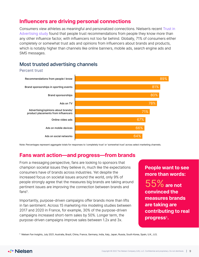### **Influencers are driving personal connections**

Consumers view athletes as meaningful and personalized connections. Nielsen's recent [Trust in](https://www.nielsen.com/wp-content/uploads/sites/3/2021/11/2021-Nielsen-Trust-In-Advertising-Sell-Sheet.pdf)  [Advertising study](https://www.nielsen.com/wp-content/uploads/sites/3/2021/11/2021-Nielsen-Trust-In-Advertising-Sell-Sheet.pdf) found that people trust recommendations from people they know more than any other influence factor, with influencers not too far behind. Globally, 71% of consumers either completely or somewhat trust ads and opinions from influencers about brands and products, which is notably higher than channels like online banners, mobile ads, search engine ads and SMS messages.

### Most trusted advertising channels

### Percent trust



Note: Percentages represent aggregate totals for responses to 'completely trust' or 'somewhat trust' across select marketing channels.

### **Fans want action—and progress—from brands**

From a messaging perspective, fans are looking to sponsors that champion societal issues they believe in, much like the expectations consumers have of brands across industries. Yet despite the increased focus on societal issues around the world, only 9% of people strongly agree that the measures big brands are taking around pertinent issues are improving the connection between brands and fans<sup>5</sup>.

Importantly, purpose-driven campaigns offer brands more than lifts in fan sentiment. Across 15 marketing mix modeling studies between 2017 and 2020 in France, for example, 30% of the purpose-driven campaigns increased short-term sales by 50%. Longer term, the purpose-driven campaigns improve sales between 1.2x and 3x.

**People want to see more than words:**

55%**are not convinced the measures brands are taking are contributing to real progress**5**.**

<sup>5</sup> Nielsen Fan Insights, July 2021; Australia, Brazil, China, France, Germany, India, Italy, Japan, Russia, South Korea, Spain, U.K., U.S.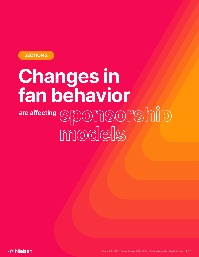<span id="page-9-0"></span>**SECTION 2**

# **Changes in fan behavior are affecting** SponSonSonShip models

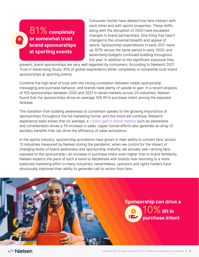### 81%**completely or somewhat trust brand sponsorships at sporting events**

Consumer trends have altered how fans interact with each other and with sports properties. These shifts along with the disruption of 2020 have escalated changes in brand partnerships. One thing that hasn't changed is the universal breadth and appeal of sports. Sponsorship expenditures in early 2021 were up 107% versus the same period in early 2020, and advertising budgets continued building throughout the year. In addition to the significant exposure they

present, brand sponsorships are very well regarded by consumers. According to Nielsen's 2021 Trust in Advertising Study, 81% of global respondents either completely or somewhat trust brand sponsorships at sporting events.

Combine the high level of trust with the strong correlation between visible sponsorship messaging and purchase behavior, and brands have plenty of upside to gain. In a recent analysis of 100 sponsorships between 2020 and 2021 in seven markets across 20 industries, Nielsen found that the sponsorships drove an average 10% lift in purchase intent among the exposed fanbase.

The transition from building awareness to conversion speaks to the growing importance of sponsorships throughout the full marketing funnel, and this trend will continue. Nielsen's experience base shows that on average, a [1-point gain in brand metrics s](https://www.nielsen.com/us/en/insights/report/2021/take-command-of-your-brand/)uch as awareness and consideration drives a 1% increase in sales. Upper-funnel efforts also generate an array of ancillary benefits that can drive the efficiency of sales activations.

In the sports industry, sponsorship activations have grown in their ability to convert fans; across 13 industries measured by Nielsen during the pandemic, when we control for the impact of changing levels of brand awareness and sponsorship maturity, we actually see—among fans exposed to the sponsorship—an increase in purchase intent even higher than in brand familiarity. Nielsen expects the pace of such a trend to decelerate with brands now returning to a more balanced marketing effort in many industries; nevertheless, sponsors and rights holders have structurally improved their ability to generate call-to-action from fans.

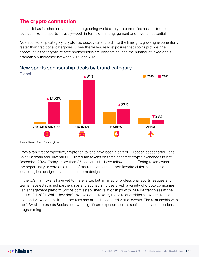### **The crypto connection**

Just as it has in other industries, the burgeoning world of crypto currencies has started to revolutionize the sports industry—both in terms of fan engagement and revenue potential.

As a sponsorship category, crypto has quickly catapulted into the limelight, growing exponentially faster than traditional categories. Given the widespread exposure that sports provide, the opportunities for crypto-related sponsorships are blossoming, and the number of inked deals dramatically increased between 2019 and 2021.



### New sports sponsorship deals by brand category

Source: Nielsen Sports Sponsorglobe

From a fan-first perspective, crypto fan tokens have been a part of European soccer after Paris Saint-Germain and Juventus F.C. listed fan tokens on three separate crypto exchanges in late December 2020. Today, more than 35 soccer clubs have followed suit, offering token owners the opportunity to vote on a range of matters concerning their favorite clubs, such as match locations, bus design—even team uniform design.

In the U.S., fan tokens have yet to materialize, but an array of professional sports leagues and teams have established partnerships and sponsorship deals with a variety of crypto companies. Fan engagement platform Socios.com established relationships with 24 NBA franchises at the start of fall 2021. While they don't involve actual tokens, those relationships allow fans to chat, post and view content from other fans and attend sponsored virtual events. The relationship with the NBA also presents Socios.com with significant exposure across social media and broadcast programming.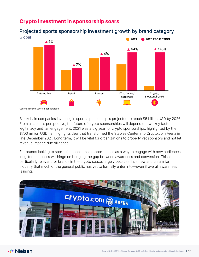

### **Crypto investment in sponsorship soars**

Projected sports sponsorship investment growth by brand category

Blockchain companies investing in sports sponsorship is projected to reach \$5 billion USD by 2026. From a success perspective, the future of crypto sponsorships will depend on two key factors: legitimacy and fan engagement. 2021 was a big year for crypto sponsorships, highlighted by the

\$700 million USD naming rights deal that transformed the Staples Center into Crypto.com Arena in late December 2021. Long term, it will be vital for organizations to properly vet sponsors and not let revenue impede due diligence.

For brands looking to sports for sponsorship opportunities as a way to engage with new audiences, long-term success will hinge on bridging the gap between awareness and conversion. This is particularly relevant for brands in the crypto space, largely because it's a new and unfamiliar industry that much of the general public has yet to formally enter into—even if overall awareness is rising.

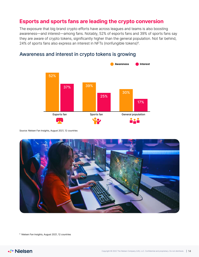### **Esports and sports fans are leading the crypto conversion**

The exposure that big brand crypto efforts have across leagues and teams is also boosting awareness—and interest—among fans. Notably, 52% of esports fans and 39% of sports fans say they are aware of crypto tokens, significantly higher than the general population. Not far behind, 24% of sports fans also express an interest in NFTs (nonfungible tokens) $^6$ .



### Awareness and interest in crypto tokens is growing

Source: Nielsen Fan Insights, August 2021, 12 countries



<sup>6</sup> Nielsen Fan Insights, August 2021, 12 countries

**√▶ Nielsen**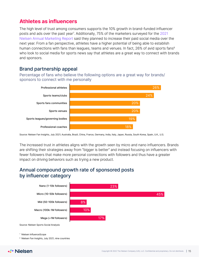### **Athletes as influencers**

The high level of trust among consumers supports the 10% growth in brand-funded influencer posts and ads over the past year<sup>7</sup>. Additionally, 75% of the marketers surveyed for the 2021 [Nielsen Annual Marketing Report](https://www.nielsen.com/us/en/insights/report/2021/nielsen-annual-marketing-report-era-of-adaptation/) said they planned to increase their paid social media over the next year. From a fan perspective, athletes have a higher potential of being able to establish human connections with fans than leagues, teams and venues. In fact,  $26\%$  of avid sports fans<sup>8</sup> who look to social media for sports news say that athletes are a great way to connect with brands and sponsors.

### Brand partnership appeal

Percentage of fans who believe the following options are a great way for brands/ sponsors to connect with me personally



Source: Nielsen Fan Insights, July 2021; Australia, Brazil, China, France, Germany, India, Italy, Japan, Russia, South Korea, Spain, U.K., U.S.

The increased trust in athletes aligns with the growth seen by micro and nano influencers. Brands are shifting their strategies away from "bigger is better" and instead focusing on influencers with fewer followers that make more personal connections with followers and thus have a greater impact on driving behaviors such as trying a new product.

### Annual compound growth rate of sponsored posts by influencer category



<sup>7</sup> Nielsen InfluenceScope

<sup>8</sup> Nielsen Fan Insights, July 2021, nine countries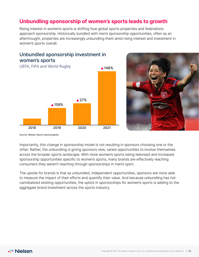### **Unbundling sponsorship of women's sports leads to growth**

Rising interest in women's sports is shifting how global sports properties and federations approach sponsorship. Historically bundled with men's sponsorship opportunities, often as an afterthought, properties are increasingly unbundling them amid rising interest and investment in women's sports overall.

### Unbundled sponsorship investment in women's sports





Source: Nielsen Sports Sponsorglobe

Importantly, this change in sponsorship model is not resulting in sponsors choosing one or the other. Rather, the unbundling is giving sponsors new, varied opportunities to involve themselves across the broader sports landscape. With more women's sports being televised and increased sponsorship opportunities specific to women's sports, many brands are effectively reaching consumers they weren't reaching through sponsorships in men's sport.

The upside for brands is that as unbundled, independent opportunities, sponsors are more able to measure the impact of their efforts and quantify their value. And because unbundling has not cannibalized existing opportunities, the uptick in sponsorships for women's sports is adding to the aggregate brand investment across the sports industry.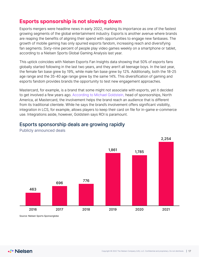### **Esports sponsorship is not slowing down**

Esports mergers were headline news in early 2022, marking its importance as one of the fastest growing segments of the global entertainment industry. Esports is another avenue where brands are reaping the benefits of aligning their spend with opportunities to engage new fanbases. The growth of mobile gaming has only spurred esports fandom, increasing reach and diversifying fan segments. Sixty-nine percent of people play video games weekly on a smartphone or tablet, according to a Nielsen Sports Global Gaming Analysis last year.

This uptick coincides with Nielsen Esports Fan Insights data showing that 50% of esports fans globally started following in the last two years, and they aren't all teenage boys. In the last year, the female fan base grew by 19%, while male fan base grew by 12%. Additionally, both the 18-25 age range and the 35-40 age range grew by the same 14%. This diversification of gaming and esports fandom provides brands the opportunity to test new engagement approaches.

Mastercard, for example, is a brand that some might not associate with esports, yet it decided to get involved a few years ago. [According to Michael Goldstein,](https://www.nielsen.com/us/en/insights/article/2021/metrics-are-key-to-proving-roi-for-brands-entering-the-esports-arena/) head of sponsorships, North America, at Mastercard, the involvement helps the brand reach an audience that is different from its traditional clientele. While he says the brand's involvement offers significant visibility, integration in LCS, for example, allows players to keep their card on file for in-game e-commerce use. Integrations aside, however, Goldstein says ROI is paramount.



### Esports sponsorship deals are growing rapidly

Publicly announced deals

Source: Nielsen Sports Sponsorglobe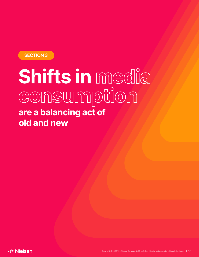<span id="page-17-0"></span>

## Shifts in media consumption **are a balancing act of old and new**

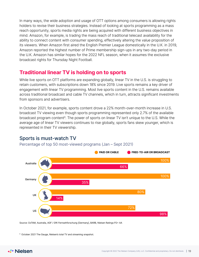In many ways, the wide adoption and usage of OTT options among consumers is allowing rights holders to revise their business strategies. Instead of looking at sports programming as a mass reach opportunity, sports media rights are being acquired with different business objectives in mind. Amazon, for example, is trading the mass reach of traditional telecast availability for the ability to connect content with consumer spending, effectively altering the value proposition of its viewers. When Amazon first aired the English Premier League domestically in the U.K. in 2019, Amazon reported the highest number of Prime membership sign-ups in any two-day period in the U.K. Amazon has similar hopes for the 2022 NFL season, when it assumes the exclusive broadcast rights for Thursday Night Football.

### **Traditional linear TV is holding on to sports**

While live sports on OTT platforms are expanding globally, linear TV in the U.S. is struggling to retain customers, with subscriptions down 18% since 2019. Live sports remains a key driver of engagement with linear TV programming. Most live sports content in the U.S. remains available across traditional broadcast and cable TV channels, which in turn, attracts significant investments from sponsors and advertisers.

In October 2021, for example, sports content drove a 22% month-over-month increase in U.S. broadcast TV viewing even though sports programming represented only 2.7% of the available broadcast program content<sup>9</sup>. The power of sports on linear TV isn't unique to the U.S. While the average age of linear TV viewers continues to rise globally, sports fans skew younger, which is represented in their TV viewership.

### Sports is must-watch TV

Percentage of top 50 most-viewed programs (Jan – Sept 2021)



Source: OzTAM, Australia, AGF / GfK Fernsehforschung [Germany], BARB, Nielsen Ratings P2+ AA

<sup>9</sup> October 2021 The Gauge, Nielsen's total TV and streaming snapshot.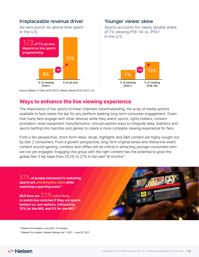### Irreplaceable revenue driver

Ad revs punch 4x above time spent in the U.S.



### Younger viewer skew

Sports accounts for nearly double share of TV viewing P18-34 vs. P55+ in the U.S.



Source: Nielsen TV Data Q2'20-Q2'21, Nielsen AdIntel Q2'20-Q2'21, U.S.

### **Ways to enhance the live viewing experience**

The importance of live sports to linear channels notwithstanding, the array of media options available to fans raises the bar for any platform seeking long-term consumer engagement. Given that many fans engage with other devices while they watch sports, rights holders, content providers—even equipment manufacturers—should explore ways to integrate data, statistics and sports betting into matches and games to create a more complete viewing experience for fans.

From a fan perspective, short-form news, recap, highlights and Q&A content are highly sought out by Gen Z consumers. From a growth perspective, long-form original series and interactive event content around gaming, contests and raffles will be critical in attracting younger consumers who are not yet engaged. Engaging this group with the right content has the potential to grow the global Gen Z fan base from 25.2% to 27% in the next 18 months<sup>11</sup>.

51% **of people interested in watching sports are checking live stats while**  watching a sporting event<sup>10</sup>.

**MLS fans are** 33% **more likely to watch live matches if they are sports bettors vs. non-bettors, followed by 10% for the NHL and 5% for the NFL**<sup>10</sup>**.**



<sup>10</sup> Nielsen Fan Insights: June 2021; 12 markets

<sup>11</sup> Nielsen Fan Insights, Nielsen Ratings Jan 1, 2021 - June 30, 2021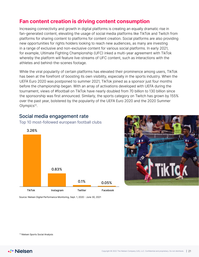### **Fan content creation is driving content consumption**

Increasing connectivity and growth in digital platforms is creating an equally dramatic rise in fan-generated content, elevating the usage of social media platforms like TikTok and Twitch from platforms for sharing content to platforms for content creation. Social platforms are also providing new opportunities for rights holders looking to reach new audiences, as many are investing in a range of exclusive and non-exclusive content for various social platforms. In early 2021, for example, Ultimate Fighting Championship (UFC) inked a multi-year agreement with TikTok whereby the platform will feature live-streams of UFC content, such as interactions with the athletes and behind-the-scenes footage.

While the viral popularity of certain platforms has elevated their prominence among users, TikTok has been at the forefront of boosting its own visibility, especially in the sports industry. When the UEFA Euro 2020 was postponed to summer 2021, TikTok joined as a sponsor just four months before the championship began. With an array of activations developed with UEFA during the tournament, views of #football on TikTok have nearly doubled from 70 billion to 130 billion since the sponsorship was first announced. Similarly, the sports category on Twitch has grown by 155% over the past year, bolstered by the popularity of the UEFA Euro 2020 and the 2020 Summer Olympics<sup>12</sup>.

### Social media engagement rate

Top 10 most-followed european football clubs





Source: Nielsen Digital Performance Monitoring, Sept. 1, 2020 - June 30, 2021

<sup>12</sup> Nielsen Sports Social Analysis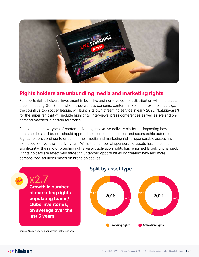

### **Rights holders are unbundling media and marketing rights**

For sports rights holders, investment in both live and non-live content distribution will be a crucial step in meeting Gen Z fans where they want to consume content. In Spain, for example, La Liga, the country's top soccer league, will launch its own streaming service in early 2022 ("LaLigaPass") for the super fan that will include highlights, interviews, press conferences as well as live and ondemand matches in certain territories.

Fans demand new types of content driven by innovative delivery platforms, impacting how rights holders and brands should approach audience engagement and sponsorship outcomes. Rights holders continue to unbundle their media and marketing rights; sponsorable assets have increased 3x over the last five years. While the number of sponsorable assets has increased significantly, the ratio of branding rights versus activation rights has remained largely unchanged. Rights holders are effectively targeting untapped opportunities by creating new and more personalized solutions based on brand objectives.

x2.7 **Growth in number of marketing rights populating teams/ clubs inventories, on average over the last 5 years**

### Split by asset type



Source: Nielsen Sports Sponsorship Rights Analysis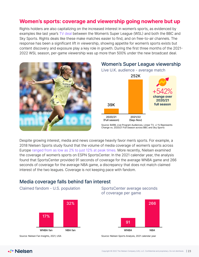### **Women's sports: coverage and viewership going nowhere but up**

Rights holders are also capitalizing on the increased interest in women's sports, as evidenced by examples like last year's [TV deal](https://www.sportspromedia.com/news/womens-super-league-tv-rights-sky-sports-bbc/) between the Women's Super League (WSL) and both the BBC and Sky Sports. Rights deals like these make matches easier to find, and on free-to-air channels. The response has been a significant lift in viewership, showing appetite for women's sports exists but content discovery and exposure play a key role in growth. During the first three months of the 2021- 2022 WSL season, per-game viewership was up more than 500% under the new broadcast deal.





Source: BARB, Live Program Audiences, Linear TV. +/-% Represents

Despite growing interest, media and news coverage heavily favor men's sports. For example, a 2018 Nielsen Sports study found that the volume of media coverage of women's sports across Europe [ranged from as low as 2% to just 12% at peak times.](https://www.nielsen.com/us/en/insights/article/2021/the-olympics-is-the-biggest-platform-for-gender-equality-in-global-sports/) More recently, Nielsen examined the coverage of women's sports on ESPN SportsCenter. In the 2021 calendar year, the analysis found that SportsCenter provided 91 seconds of coverage for the average WNBA game and 266 seconds of coverage for the average NBA game, a discrepancy that does not match claimed interest of the two leagues. Coverage is not keeping pace with fandom.

### Media coverage falls behind fan interest







Source: Nielsen Fan Insights, 2021, USA Source: Nielsen Sports Analysis, 2021 calendar year



Change vs. 2020/21 Full Season across BBC and Sky Sports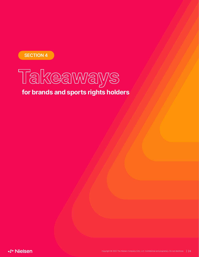<span id="page-23-0"></span>



### **for brands and sports rights holders**

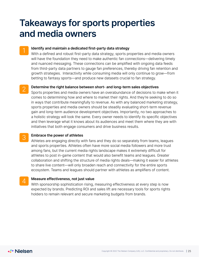### **Takeaways for sports properties and media owners**

### 1 **Identify and maintain a dedicated first-party data strategy**

With a defined and robust first-party data strategy, sports properties and media owners will have the foundation they need to make authentic fan connections—delivering timely and nuanced messaging. These connections can be amplified with ongoing data feeds from third-party data partners to gauge fan preferences, thereby driving fan retention and growth strategies. Interactivity while consuming media will only continue to grow—from betting to fantasy sports—and produce new datasets crucial to fan strategy.

### 2 **Determine the right balance between short- and long-term sales objectives**

Sports properties and media owners have an overabundance of decisions to make when it comes to determining how and where to market their rights. And they're seeking to do so in ways that contribute meaningfully to revenue. As with any balanced marketing strategy, sports properties and media owners should be steadily evaluating short-term revenue gain and long-term audience development objectives. Importantly, no two approaches to a holistic strategy will look the same. Every owner needs to identify its specific objectives and then leverage what it knows about its audiences and meet them where they are with initiatives that both engage consumers and drive business results.

### 3 **Embrace the power of athletes**

Athletes are engaging directly with fans and they do so separately from teams, leagues and sports properties. Athletes often have more social media followers and more trust among fans, but the current media rights landscape makes it extremely difficult for athletes to post in-game content that would also benefit teams and leagues. Greater collaboration and shifting the structure of media rights deals—making it easier for athletes to share live content—will only broaden reach and connectivity for the entire sports ecosystem. Teams and leagues should partner with athletes as amplifiers of content.

4 **Measure effectiveness, not just value** 

With sponsorship sophistication rising, measuring effectiveness at every step is now expected by brands. Predicting ROI and sales lift are necessary tools for sports rights holders to remain relevant and secure marketing budgets from brands.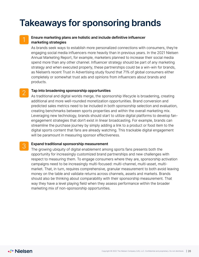## **Takeaways for sponsoring brands**

### 1 **Ensure marketing plans are holistic and include definitive influencer marketing strategies**

As brands seek ways to establish more personalized connections with consumers, they're engaging social media influencers more heavily than in previous years. In the 2021 Nielsen Annual Marketing Report, for example, marketers planned to increase their social media spend more than any other channel. Influencer strategy should be part of any marketing strategy and when executed properly, these partnerships could be a win-win for brands, as Nielsen's recent Trust in Advertising study found that 71% of global consumers either completely or somewhat trust ads and opinions from influencers about brands and products.

#### 2 **Tap into broadening sponsorship opportunities**

As traditional and digital worlds merge, the sponsorship lifecycle is broadening, creating additional and more well-rounded monetization opportunities. Brand conversion and predicted sales metrics need to be included in both sponsorship selection and evaluation, creating benchmarks between sports properties and within the overall marketing mix. Leveraging new technology, brands should start to utilize digital platforms to develop fanengagement strategies that don't exist in linear broadcasting. For example, brands can streamline the purchase journey by simply adding a link to a product or food item to the digital sports content that fans are already watching. This trackable digital engagement will be paramount in measuring sponsor effectiveness.

### 3 **Expand traditional sponsorship measurement**

The growing ubiquity of digital enablement among sports fans presents both the opportunity for increasingly customized brand partnerships and new challenges with respect to measuring them. To engage consumers where they are, sponsorship activation campaigns need to be increasingly multi-focused: multi-channel, multi-asset, multimarket. That, in turn, requires comprehensive, granular measurement to both avoid leaving money on the table and validate returns across channels, assets and markets. Brands should also be thinking about comparability with their sponsorship measurement. That way they have a level playing field when they assess performance within the broader marketing mix of non-sponsorship opportunities.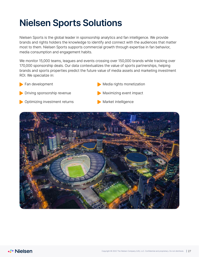## **Nielsen Sports Solutions**

Nielsen Sports is the global leader in sponsorship analytics and fan intelligence. We provide brands and rights holders the knowledge to identify and connect with the audiences that matter most to them. Nielsen Sports supports commercial growth through expertise in fan behavior, media consumption and engagement habits.

We monitor 15,000 teams, leagues and events crossing over 150,000 brands while tracking over 170,000 sponsorship deals. Our data contextualizes the value of sports partnerships, helping brands and sports properties predict the future value of media assets and marketing investment ROI. We specialize in:

**Fan development** 

Media rights monetization

- Driving sponsorship revenue
- Optimizing investment returns
- Maximizing event impact
- Market intelligence

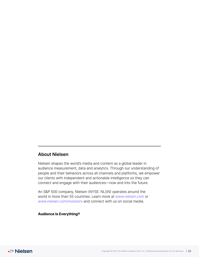### **About Nielsen**

Nielsen shapes the world's media and content as a global leader in audience measurement, data and analytics. Through our understanding of people and their behaviors across all channels and platforms, we empower our clients with independent and actionable intelligence so they can connect and engage with their audiences—now and into the future.

An S&P 500 company, Nielsen (NYSE: NLSN) operates around the world in more than 55 countries. Learn more at www.nielsen.com or www.nielsen.com/investors and connect with us on social media.

### **Audience Is Everything®**